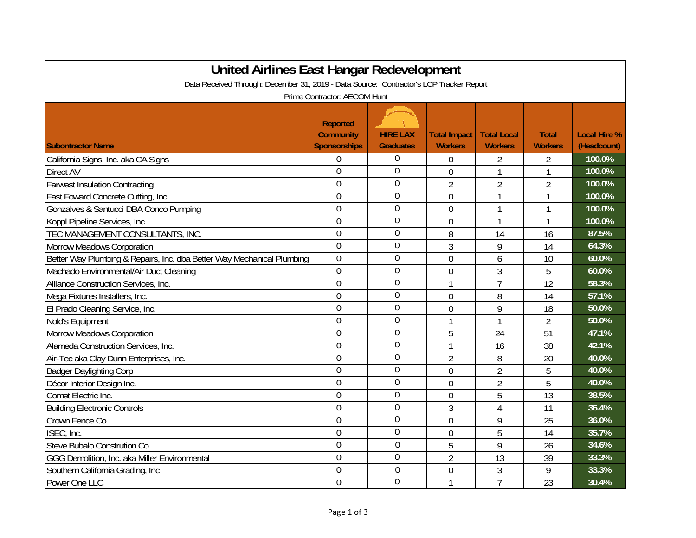| United Airlines East Hangar Redevelopment                                               |                                                            |                                     |                                       |                                      |                                |                                    |  |  |
|-----------------------------------------------------------------------------------------|------------------------------------------------------------|-------------------------------------|---------------------------------------|--------------------------------------|--------------------------------|------------------------------------|--|--|
| Data Received Through: December 31, 2019 - Data Source: Contractor's LCP Tracker Report |                                                            |                                     |                                       |                                      |                                |                                    |  |  |
| Prime Contractor: AECOM Hunt                                                            |                                                            |                                     |                                       |                                      |                                |                                    |  |  |
| <b>Subontractor Name</b>                                                                | <b>Reported</b><br><b>Community</b><br><b>Sponsorships</b> | <b>HIRE LAX</b><br><b>Graduates</b> | <b>Total Impact</b><br><b>Workers</b> | <b>Total Local</b><br><b>Workers</b> | <b>Total</b><br><b>Workers</b> | <b>Local Hire %</b><br>(Headcount) |  |  |
| California Signs, Inc. aka CA Signs                                                     | 0                                                          | 0                                   | 0                                     | 2                                    | $\overline{2}$                 | 100.0%                             |  |  |
| Direct AV                                                                               | 0                                                          | $\overline{0}$                      | $\overline{0}$                        | $\mathbf{1}$                         | 1                              | 100.0%                             |  |  |
| <b>Farwest Insulation Contracting</b>                                                   | $\overline{0}$                                             | 0                                   | $\overline{2}$                        | $\overline{2}$                       | $\overline{2}$                 | 100.0%                             |  |  |
| Fast Foward Concrete Cutting, Inc.                                                      | $\overline{0}$                                             | 0                                   | $\mathbf 0$                           | 1                                    | $\mathbf{1}$                   | 100.0%                             |  |  |
| Gonzalves & Santucci DBA Conco Pumping                                                  | $\overline{0}$                                             | 0                                   | $\overline{0}$                        | 1                                    | 1                              | 100.0%                             |  |  |
| Koppl Pipeline Services, Inc.                                                           | $\overline{0}$                                             | 0                                   | $\mathbf{0}$                          | $\mathbf{1}$                         | $\mathbf{1}$                   | 100.0%                             |  |  |
| TEC MANAGEMENT CONSULTANTS, INC.                                                        | $\overline{0}$                                             | 0                                   | 8                                     | 14                                   | 16                             | 87.5%                              |  |  |
| <b>Morrow Meadows Corporation</b>                                                       | $\overline{0}$                                             | 0                                   | 3                                     | 9                                    | 14                             | 64.3%                              |  |  |
| Better Way Plumbing & Repairs, Inc. dba Better Way Mechanical Plumbing                  | $\mathbf 0$                                                | 0                                   | $\mathbf 0$                           | 6                                    | 10                             | 60.0%                              |  |  |
| Machado Environmental/Air Duct Cleaning                                                 | $\overline{0}$                                             | 0                                   | $\overline{0}$                        | $\overline{3}$                       | 5                              | 60.0%                              |  |  |
| Alliance Construction Services, Inc.                                                    | $\mathbf 0$                                                | 0                                   | 1                                     | $\overline{7}$                       | 12                             | 58.3%                              |  |  |
| Mega Fixtures Installers, Inc.                                                          | $\overline{0}$                                             | 0                                   | 0                                     | 8                                    | 14                             | 57.1%                              |  |  |
| El Prado Cleaning Service, Inc.                                                         | 0                                                          | 0                                   | $\overline{0}$                        | 9                                    | 18                             | 50.0%                              |  |  |
| Nold's Equipment                                                                        | $\overline{0}$                                             | 0                                   | 1                                     | $\mathbf{1}$                         | $\overline{2}$                 | 50.0%                              |  |  |
| <b>Morrow Meadows Corporation</b>                                                       | $\overline{0}$                                             | $\overline{0}$                      | 5                                     | 24                                   | 51                             | 47.1%                              |  |  |
| Alameda Construction Services, Inc.                                                     | $\overline{0}$                                             | 0                                   | 1                                     | 16                                   | 38                             | 42.1%                              |  |  |
| Air-Tec aka Clay Dunn Enterprises, Inc.                                                 | $\overline{0}$                                             | 0                                   | $\overline{2}$                        | 8                                    | 20                             | 40.0%                              |  |  |
| <b>Badger Daylighting Corp</b>                                                          | $\overline{0}$                                             | 0                                   | $\overline{0}$                        | $\overline{2}$                       | 5                              | 40.0%                              |  |  |
| Décor Interior Design Inc.                                                              | $\overline{0}$                                             | 0                                   | $\overline{0}$                        | $\overline{2}$                       | 5                              | 40.0%                              |  |  |
| Comet Electric Inc.                                                                     | 0                                                          | 0                                   | $\overline{0}$                        | 5                                    | 13                             | 38.5%                              |  |  |
| <b>Building Electronic Controls</b>                                                     | $\overline{0}$                                             | 0                                   | 3                                     | $\overline{4}$                       | 11                             | 36.4%                              |  |  |
| Crown Fence Co.                                                                         | 0                                                          | 0                                   | $\overline{0}$                        | 9                                    | 25                             | 36.0%                              |  |  |
| ISEC, Inc.                                                                              | 0                                                          | $\overline{0}$                      | $\overline{0}$                        | 5                                    | 14                             | 35.7%                              |  |  |
| Steve Bubalo Constrution Co.                                                            | $\overline{0}$                                             | $\mathbf 0$                         | 5                                     | 9                                    | 26                             | 34.6%                              |  |  |
| GGG Demolition, Inc. aka Miller Environmental                                           | 0                                                          | 0                                   | $\overline{2}$                        | 13                                   | 39                             | 33.3%                              |  |  |
| Southern California Grading, Inc                                                        | 0                                                          | $\overline{0}$                      | $\overline{0}$                        | 3                                    | 9                              | 33.3%                              |  |  |
| Power One LLC                                                                           | $\overline{0}$                                             | $\overline{0}$                      | $\mathbf{1}$                          | $\overline{7}$                       | 23                             | 30.4%                              |  |  |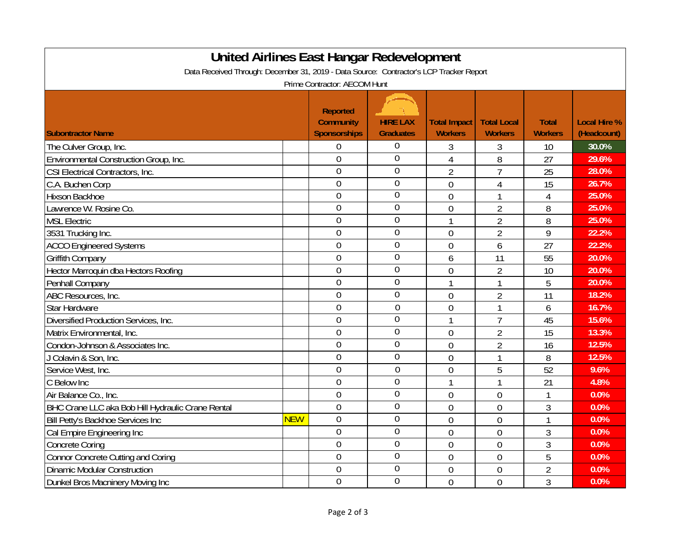| <b>United Airlines East Hangar Redevelopment</b>                                                                        |            |                                                            |                                     |                                |                                      |                                |                                    |  |
|-------------------------------------------------------------------------------------------------------------------------|------------|------------------------------------------------------------|-------------------------------------|--------------------------------|--------------------------------------|--------------------------------|------------------------------------|--|
| Data Received Through: December 31, 2019 - Data Source: Contractor's LCP Tracker Report<br>Prime Contractor: AECOM Hunt |            |                                                            |                                     |                                |                                      |                                |                                    |  |
| <b>Subontractor Name</b>                                                                                                |            | <b>Reported</b><br><b>Community</b><br><b>Sponsorships</b> | <b>HIRE LAX</b><br><b>Graduates</b> | Total Impact<br><b>Workers</b> | <b>Total Local</b><br><b>Workers</b> | <b>Total</b><br><b>Workers</b> | <b>Local Hire %</b><br>(Headcount) |  |
| The Culver Group, Inc.                                                                                                  |            | $\mathbf 0$                                                | 0                                   | 3                              | 3                                    | 10                             | 30.0%                              |  |
| Environmental Construction Group, Inc.                                                                                  |            | $\overline{0}$                                             | $\overline{0}$                      | $\overline{4}$                 | 8                                    | 27                             | 29.6%                              |  |
| CSI Electrical Contractors, Inc.                                                                                        |            | $\overline{0}$                                             | $\overline{0}$                      | $\overline{2}$                 | $\overline{7}$                       | 25                             | 28.0%                              |  |
| C.A. Buchen Corp                                                                                                        |            | $\overline{0}$                                             | $\overline{0}$                      | $\overline{0}$                 | 4                                    | 15                             | 26.7%                              |  |
| Hixson Backhoe                                                                                                          |            | $\overline{0}$                                             | $\overline{0}$                      | $\overline{0}$                 |                                      | $\overline{4}$                 | 25.0%                              |  |
| Lawrence W. Rosine Co.                                                                                                  |            | $\overline{0}$                                             | $\mathbf 0$                         | $\overline{0}$                 | $\overline{2}$                       | 8                              | 25.0%                              |  |
| <b>MSL Electric</b>                                                                                                     |            | $\overline{0}$                                             | $\overline{0}$                      | 1                              | $\overline{2}$                       | 8                              | 25.0%                              |  |
| 3531 Trucking Inc.                                                                                                      |            | $\overline{0}$                                             | $\overline{0}$                      | $\overline{0}$                 | $\overline{2}$                       | 9                              | 22.2%                              |  |
| <b>ACCO Engineered Systems</b>                                                                                          |            | $\overline{0}$                                             | $\overline{0}$                      | $\overline{0}$                 | 6                                    | 27                             | 22.2%                              |  |
| Griffith Company                                                                                                        |            | $\overline{0}$                                             | $\overline{0}$                      | 6                              | 11                                   | 55                             | 20.0%                              |  |
| Hector Marroquin dba Hectors Roofing                                                                                    |            | $\overline{0}$                                             | $\overline{0}$                      | $\overline{0}$                 | $\overline{2}$                       | 10                             | 20.0%                              |  |
| Penhall Company                                                                                                         |            | $\overline{0}$                                             | $\overline{0}$                      | 1                              | 1                                    | 5                              | 20.0%                              |  |
| ABC Resources, Inc.                                                                                                     |            | $\overline{0}$                                             | $\mathbf{0}$                        | $\overline{0}$                 | $\overline{2}$                       | 11                             | 18.2%                              |  |
| <b>Star Hardware</b>                                                                                                    |            | $\mathbf 0$                                                | $\mathbf 0$                         | 0                              | 1                                    | 6                              | 16.7%                              |  |
| Diversified Production Services, Inc.                                                                                   |            | $\overline{0}$                                             | $\overline{0}$                      |                                | $\overline{7}$                       | 45                             | 15.6%                              |  |
| Matrix Environmental, Inc.                                                                                              |            | $\mathbf 0$                                                | $\overline{0}$                      | $\overline{0}$                 | $\overline{2}$                       | 15                             | 13.3%                              |  |
| Condon-Johnson & Associates Inc.                                                                                        |            | $\overline{0}$                                             | $\mathbf 0$                         | $\overline{0}$                 | $\overline{2}$                       | 16                             | 12.5%                              |  |
| J Colavin & Son, Inc.                                                                                                   |            | $\overline{0}$                                             | $\overline{0}$                      | $\overline{0}$                 | 1                                    | 8                              | 12.5%                              |  |
| Service West, Inc.                                                                                                      |            | $\overline{0}$                                             | $\overline{0}$                      | $\overline{0}$                 | 5                                    | 52                             | 9.6%                               |  |
| C Below Inc                                                                                                             |            | $\overline{0}$                                             | $\overline{0}$                      | 1                              | 1                                    | 21                             | 4.8%                               |  |
| Air Balance Co., Inc.                                                                                                   |            | $\overline{0}$                                             | $\overline{0}$                      | $\overline{0}$                 | $\theta$                             | $\mathbf{1}$                   | 0.0%                               |  |
| BHC Crane LLC aka Bob Hill Hydraulic Crane Rental                                                                       |            | $\overline{0}$                                             | $\overline{0}$                      | $\overline{0}$                 | $\overline{0}$                       | 3                              | 0.0%                               |  |
| Bill Petty's Backhoe Services Inc                                                                                       | <b>NEW</b> | $\overline{0}$                                             | $\overline{0}$                      | $\overline{0}$                 | $\overline{0}$                       | 1                              | 0.0%                               |  |
| Cal Empire Engineering Inc                                                                                              |            | $\overline{0}$                                             | $\overline{0}$                      | $\overline{0}$                 | $\overline{0}$                       | 3                              | 0.0%                               |  |
| <b>Concrete Coring</b>                                                                                                  |            | $\overline{0}$                                             | $\mathbf 0$                         | $\overline{0}$                 | $\overline{0}$                       | 3                              | 0.0%                               |  |
| <b>Connor Concrete Cutting and Coring</b>                                                                               |            | $\overline{0}$                                             | $\mathbf 0$                         | $\overline{0}$                 | $\mathbf 0$                          | 5                              | 0.0%                               |  |
| <b>Dinamic Modular Construction</b>                                                                                     |            | $\mathbf{0}$                                               | 0                                   | $\overline{0}$                 | $\mathbf{0}$                         | $\overline{2}$                 | 0.0%                               |  |
| Dunkel Bros Macninery Moving Inc                                                                                        |            | $\overline{0}$                                             | $\overline{0}$                      | $\overline{0}$                 | $\overline{0}$                       | 3                              | 0.0%                               |  |